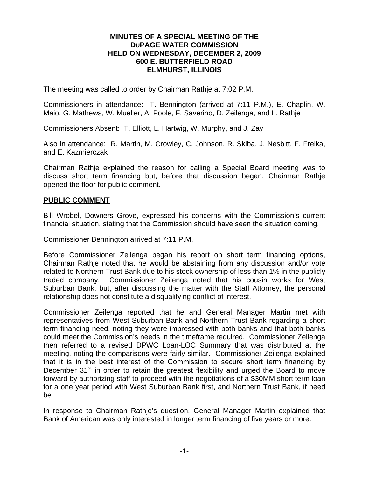## **MINUTES OF A SPECIAL MEETING OF THE DUPAGE WATER COMMISSION HELD ON WEDNESDAY, DECEMBER 2, 2009 600 E. BUTTERFIELD ROAD ELMHURST, ILLINOIS**

The meeting was called to order by Chairman Rathje at 7:02 P.M.

Commissioners in attendance: T. Bennington (arrived at 7:11 P.M.), E. Chaplin, W. Maio, G. Mathews, W. Mueller, A. Poole, F. Saverino, D. Zeilenga, and L. Rathje

Commissioners Absent: T. Elliott, L. Hartwig, W. Murphy, and J. Zay

Also in attendance: R. Martin, M. Crowley, C. Johnson, R. Skiba, J. Nesbitt, F. Frelka, and E. Kazmierczak

Chairman Rathje explained the reason for calling a Special Board meeting was to discuss short term financing but, before that discussion began, Chairman Rathje opened the floor for public comment.

## **PUBLIC COMMENT**

Bill Wrobel, Downers Grove, expressed his concerns with the Commission's current financial situation, stating that the Commission should have seen the situation coming.

Commissioner Bennington arrived at 7:11 P.M.

Before Commissioner Zeilenga began his report on short term financing options, Chairman Rathje noted that he would be abstaining from any discussion and/or vote related to Northern Trust Bank due to his stock ownership of less than 1% in the publicly traded company. Commissioner Zeilenga noted that his cousin works for West Suburban Bank, but, after discussing the matter with the Staff Attorney, the personal relationship does not constitute a disqualifying conflict of interest.

Commissioner Zeilenga reported that he and General Manager Martin met with representatives from West Suburban Bank and Northern Trust Bank regarding a short term financing need, noting they were impressed with both banks and that both banks could meet the Commission's needs in the timeframe required. Commissioner Zeilenga then referred to a revised DPWC Loan-LOC Summary that was distributed at the meeting, noting the comparisons were fairly similar. Commissioner Zeilenga explained that it is in the best interest of the Commission to secure short term financing by December 31<sup>st</sup> in order to retain the greatest flexibility and urged the Board to move forward by authorizing staff to proceed with the negotiations of a \$30MM short term loan for a one year period with West Suburban Bank first, and Northern Trust Bank, if need be.

In response to Chairman Rathje's question, General Manager Martin explained that Bank of American was only interested in longer term financing of five years or more.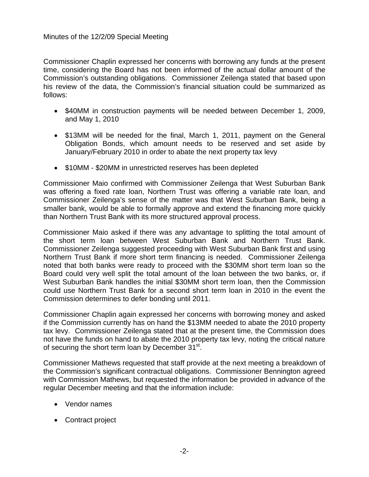Commissioner Chaplin expressed her concerns with borrowing any funds at the present time, considering the Board has not been informed of the actual dollar amount of the Commission's outstanding obligations. Commissioner Zeilenga stated that based upon his review of the data, the Commission's financial situation could be summarized as follows:

- \$40MM in construction payments will be needed between December 1, 2009, and May 1, 2010
- \$13MM will be needed for the final, March 1, 2011, payment on the General Obligation Bonds, which amount needs to be reserved and set aside by January/February 2010 in order to abate the next property tax levy
- \$10MM \$20MM in unrestricted reserves has been depleted

Commissioner Maio confirmed with Commissioner Zeilenga that West Suburban Bank was offering a fixed rate loan, Northern Trust was offering a variable rate loan, and Commissioner Zeilenga's sense of the matter was that West Suburban Bank, being a smaller bank, would be able to formally approve and extend the financing more quickly than Northern Trust Bank with its more structured approval process.

Commissioner Maio asked if there was any advantage to splitting the total amount of the short term loan between West Suburban Bank and Northern Trust Bank. Commissioner Zeilenga suggested proceeding with West Suburban Bank first and using Northern Trust Bank if more short term financing is needed. Commissioner Zeilenga noted that both banks were ready to proceed with the \$30MM short term loan so the Board could very well split the total amount of the loan between the two banks, or, if West Suburban Bank handles the initial \$30MM short term loan, then the Commission could use Northern Trust Bank for a second short term loan in 2010 in the event the Commission determines to defer bonding until 2011.

Commissioner Chaplin again expressed her concerns with borrowing money and asked if the Commission currently has on hand the \$13MM needed to abate the 2010 property tax levy. Commissioner Zeilenga stated that at the present time, the Commission does not have the funds on hand to abate the 2010 property tax levy, noting the critical nature of securing the short term loan by December 31<sup>st</sup>.

Commissioner Mathews requested that staff provide at the next meeting a breakdown of the Commission's significant contractual obligations. Commissioner Bennington agreed with Commission Mathews, but requested the information be provided in advance of the regular December meeting and that the information include:

- Vendor names
- Contract project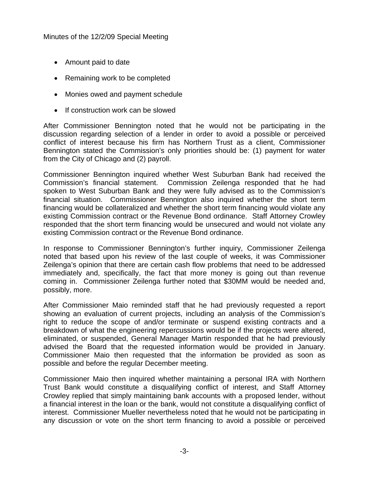- Amount paid to date
- Remaining work to be completed
- Monies owed and payment schedule
- If construction work can be slowed

After Commissioner Bennington noted that he would not be participating in the discussion regarding selection of a lender in order to avoid a possible or perceived conflict of interest because his firm has Northern Trust as a client, Commissioner Bennington stated the Commission's only priorities should be: (1) payment for water from the City of Chicago and (2) payroll.

Commissioner Bennington inquired whether West Suburban Bank had received the Commission's financial statement. Commission Zeilenga responded that he had spoken to West Suburban Bank and they were fully advised as to the Commission's financial situation. Commissioner Bennington also inquired whether the short term financing would be collateralized and whether the short term financing would violate any existing Commission contract or the Revenue Bond ordinance. Staff Attorney Crowley responded that the short term financing would be unsecured and would not violate any existing Commission contract or the Revenue Bond ordinance.

In response to Commissioner Bennington's further inquiry, Commissioner Zeilenga noted that based upon his review of the last couple of weeks, it was Commissioner Zeilenga's opinion that there are certain cash flow problems that need to be addressed immediately and, specifically, the fact that more money is going out than revenue coming in. Commissioner Zeilenga further noted that \$30MM would be needed and, possibly, more.

After Commissioner Maio reminded staff that he had previously requested a report showing an evaluation of current projects, including an analysis of the Commission's right to reduce the scope of and/or terminate or suspend existing contracts and a breakdown of what the engineering repercussions would be if the projects were altered, eliminated, or suspended, General Manager Martin responded that he had previously advised the Board that the requested information would be provided in January. Commissioner Maio then requested that the information be provided as soon as possible and before the regular December meeting.

Commissioner Maio then inquired whether maintaining a personal IRA with Northern Trust Bank would constitute a disqualifying conflict of interest, and Staff Attorney Crowley replied that simply maintaining bank accounts with a proposed lender, without a financial interest in the loan or the bank, would not constitute a disqualifying conflict of interest. Commissioner Mueller nevertheless noted that he would not be participating in any discussion or vote on the short term financing to avoid a possible or perceived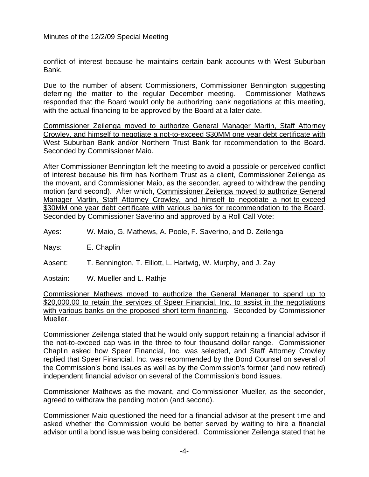conflict of interest because he maintains certain bank accounts with West Suburban Bank.

Due to the number of absent Commissioners, Commissioner Bennington suggesting deferring the matter to the regular December meeting. Commissioner Mathews responded that the Board would only be authorizing bank negotiations at this meeting, with the actual financing to be approved by the Board at a later date.

Commissioner Zeilenga moved to authorize General Manager Martin, Staff Attorney Crowley, and himself to negotiate a not-to-exceed \$30MM one year debt certificate with West Suburban Bank and/or Northern Trust Bank for recommendation to the Board. Seconded by Commissioner Maio.

After Commissioner Bennington left the meeting to avoid a possible or perceived conflict of interest because his firm has Northern Trust as a client, Commissioner Zeilenga as the movant, and Commissioner Maio, as the seconder, agreed to withdraw the pending motion (and second). After which, Commissioner Zeilenga moved to authorize General Manager Martin, Staff Attorney Crowley, and himself to negotiate a not-to-exceed \$30MM one year debt certificate with various banks for recommendation to the Board. Seconded by Commissioner Saverino and approved by a Roll Call Vote:

Ayes: W. Maio, G. Mathews, A. Poole, F. Saverino, and D. Zeilenga

Nays: E. Chaplin

Absent: T. Bennington, T. Elliott, L. Hartwig, W. Murphy, and J. Zay

Abstain: W. Mueller and L. Rathje

Commissioner Mathews moved to authorize the General Manager to spend up to \$20,000.00 to retain the services of Speer Financial, Inc. to assist in the negotiations with various banks on the proposed short-term financing. Seconded by Commissioner Mueller.

Commissioner Zeilenga stated that he would only support retaining a financial advisor if the not-to-exceed cap was in the three to four thousand dollar range. Commissioner Chaplin asked how Speer Financial, Inc. was selected, and Staff Attorney Crowley replied that Speer Financial, Inc. was recommended by the Bond Counsel on several of the Commission's bond issues as well as by the Commission's former (and now retired) independent financial advisor on several of the Commission's bond issues.

Commissioner Mathews as the movant, and Commissioner Mueller, as the seconder, agreed to withdraw the pending motion (and second).

Commissioner Maio questioned the need for a financial advisor at the present time and asked whether the Commission would be better served by waiting to hire a financial advisor until a bond issue was being considered. Commissioner Zeilenga stated that he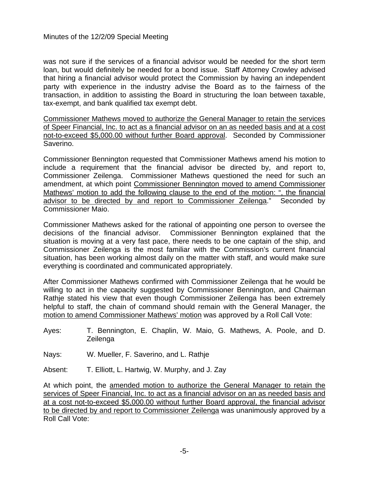was not sure if the services of a financial advisor would be needed for the short term loan, but would definitely be needed for a bond issue. Staff Attorney Crowley advised that hiring a financial advisor would protect the Commission by having an independent party with experience in the industry advise the Board as to the fairness of the transaction, in addition to assisting the Board in structuring the loan between taxable, tax-exempt, and bank qualified tax exempt debt.

Commissioner Mathews moved to authorize the General Manager to retain the services of Speer Financial, Inc. to act as a financial advisor on an as needed basis and at a cost not-to-exceed \$5,000.00 without further Board approval. Seconded by Commissioner Saverino.

Commissioner Bennington requested that Commissioner Mathews amend his motion to include a requirement that the financial advisor be directed by, and report to, Commissioner Zeilenga. Commissioner Mathews questioned the need for such an amendment, at which point Commissioner Bennington moved to amend Commissioner Mathews' motion to add the following clause to the end of the motion: ", the financial advisor to be directed by and report to Commissioner Zeilenga." Seconded by Commissioner Maio.

Commissioner Mathews asked for the rational of appointing one person to oversee the decisions of the financial advisor. Commissioner Bennington explained that the situation is moving at a very fast pace, there needs to be one captain of the ship, and Commissioner Zeilenga is the most familiar with the Commission's current financial situation, has been working almost daily on the matter with staff, and would make sure everything is coordinated and communicated appropriately.

After Commissioner Mathews confirmed with Commissioner Zeilenga that he would be willing to act in the capacity suggested by Commissioner Bennington, and Chairman Rathje stated his view that even though Commissioner Zeilenga has been extremely helpful to staff, the chain of command should remain with the General Manager, the motion to amend Commissioner Mathews' motion was approved by a Roll Call Vote:

Ayes: T. Bennington, E. Chaplin, W. Maio, G. Mathews, A. Poole, and D. Zeilenga

Nays: W. Mueller, F. Saverino, and L. Rathje

Absent: T. Elliott, L. Hartwig, W. Murphy, and J. Zay

At which point, the amended motion to authorize the General Manager to retain the services of Speer Financial, Inc. to act as a financial advisor on an as needed basis and at a cost not-to-exceed \$5,000.00 without further Board approval, the financial advisor to be directed by and report to Commissioner Zeilenga was unanimously approved by a Roll Call Vote: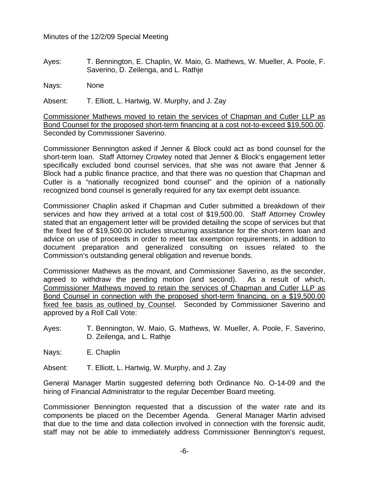Ayes: T. Bennington, E. Chaplin, W. Maio, G. Mathews, W. Mueller, A. Poole, F. Saverino, D. Zeilenga, and L. Rathje

Nays: None

Absent: T. Elliott, L. Hartwig, W. Murphy, and J. Zay

Commissioner Mathews moved to retain the services of Chapman and Cutler LLP as Bond Counsel for the proposed short-term financing at a cost not-to-exceed \$19,500.00. Seconded by Commissioner Saverino.

Commissioner Bennington asked if Jenner & Block could act as bond counsel for the short-term loan. Staff Attorney Crowley noted that Jenner & Block's engagement letter specifically excluded bond counsel services, that she was not aware that Jenner & Block had a public finance practice, and that there was no question that Chapman and Cutler is a "nationally recognized bond counsel" and the opinion of a nationally recognized bond counsel is generally required for any tax exempt debt issuance.

Commissioner Chaplin asked if Chapman and Cutler submitted a breakdown of their services and how they arrived at a total cost of \$19,500.00. Staff Attorney Crowley stated that an engagement letter will be provided detailing the scope of services but that the fixed fee of \$19,500.00 includes structuring assistance for the short-term loan and advice on use of proceeds in order to meet tax exemption requirements, in addition to document preparation and generalized consulting on issues related to the Commission's outstanding general obligation and revenue bonds.

Commissioner Mathews as the movant, and Commissioner Saverino, as the seconder, agreed to withdraw the pending motion (and second). As a result of which, Commissioner Mathews moved to retain the services of Chapman and Cutler LLP as Bond Counsel in connection with the proposed short-term financing, on a \$19,500.00 fixed fee basis as outlined by Counsel. Seconded by Commissioner Saverino and approved by a Roll Call Vote:

Ayes: T. Bennington, W. Maio, G. Mathews, W. Mueller, A. Poole, F. Saverino, D. Zeilenga, and L. Rathje

Nays: E. Chaplin

Absent: T. Elliott, L. Hartwig, W. Murphy, and J. Zay

General Manager Martin suggested deferring both Ordinance No. O-14-09 and the hiring of Financial Administrator to the regular December Board meeting.

Commissioner Bennington requested that a discussion of the water rate and its components be placed on the December Agenda. General Manager Martin advised that due to the time and data collection involved in connection with the forensic audit, staff may not be able to immediately address Commissioner Bennington's request,